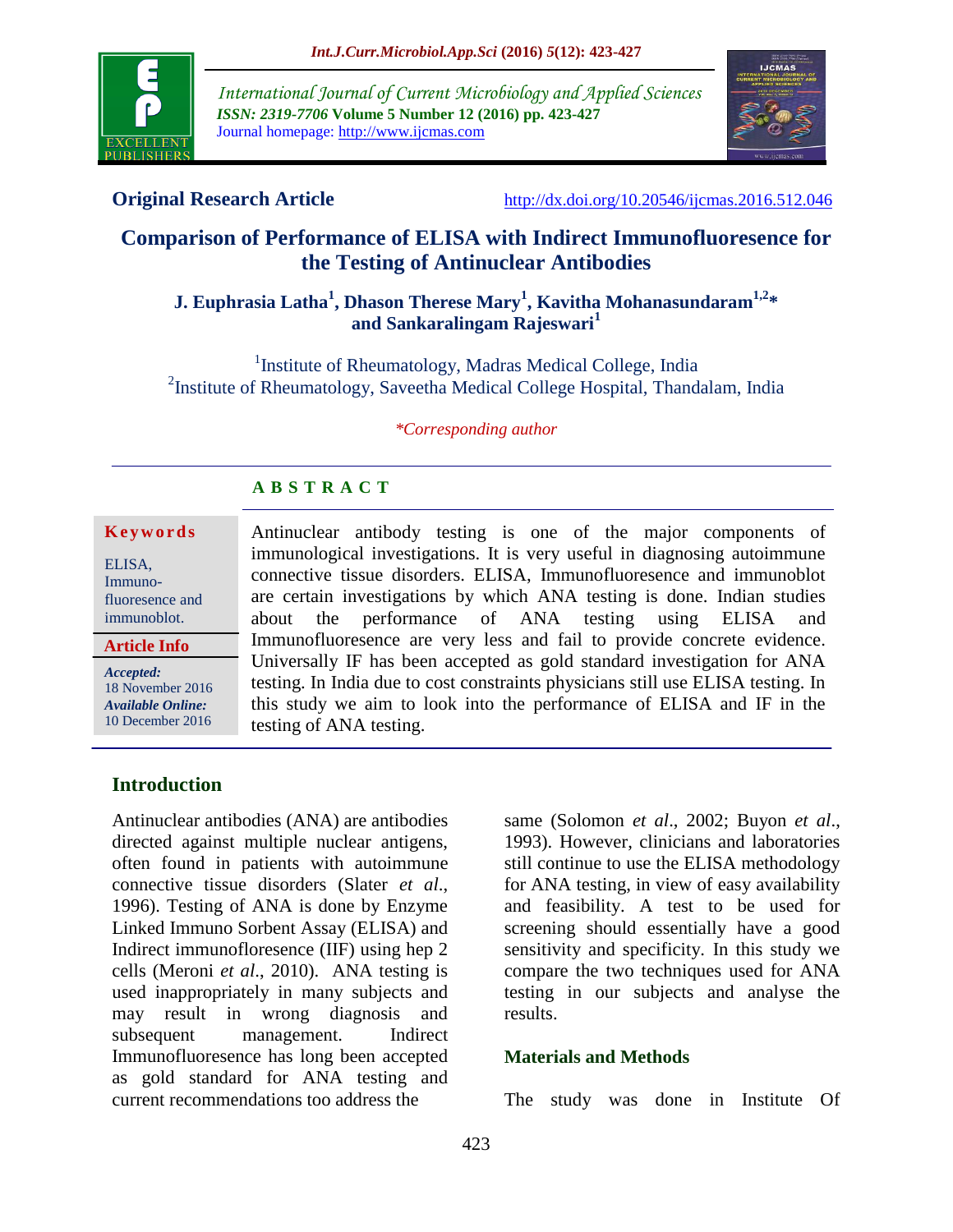

*International Journal of Current Microbiology and Applied Sciences ISSN: 2319-7706* **Volume 5 Number 12 (2016) pp. 423-427** Journal homepage: http://www.ijcmas.com



**Original Research Article** <http://dx.doi.org/10.20546/ijcmas.2016.512.046>

# **Comparison of Performance of ELISA with Indirect Immunofluoresence for the Testing of Antinuclear Antibodies**

## **J. Euphrasia Latha<sup>1</sup> , Dhason Therese Mary<sup>1</sup> , Kavitha Mohanasundaram1,2 \* and Sankaralingam Rajeswari<sup>1</sup>**

<sup>1</sup> Institute of Rheumatology, Madras Medical College, India <sup>2</sup>Institute of Rheumatology, Saveetha Medical College Hospital, Thandalam, India

*\*Corresponding author*

## **A B S T R A C T**

#### **K e y w o r d s**

ELISA, Immunofluoresence and immunoblot.

**Article Info**

*Accepted:*  18 November 2016 *Available Online:*

10 December 2016

Antinuclear antibody testing is one of the major components of immunological investigations. It is very useful in diagnosing autoimmune connective tissue disorders. ELISA, Immunofluoresence and immunoblot are certain investigations by which ANA testing is done. Indian studies about the performance of ANA testing using ELISA and Immunofluoresence are very less and fail to provide concrete evidence. Universally IF has been accepted as gold standard investigation for ANA testing. In India due to cost constraints physicians still use ELISA testing. In this study we aim to look into the performance of ELISA and IF in the testing of ANA testing.

#### **Introduction**

Antinuclear antibodies (ANA) are antibodies directed against multiple nuclear antigens, often found in patients with autoimmune connective tissue disorders (Slater *et al*., 1996). Testing of ANA is done by Enzyme Linked Immuno Sorbent Assay (ELISA) and Indirect immunofloresence (IIF) using hep 2 cells (Meroni *et al*., 2010). ANA testing is used inappropriately in many subjects and may result in wrong diagnosis and subsequent management. Indirect Immunofluoresence has long been accepted as gold standard for ANA testing and current recommendations too address the

same (Solomon *et al*., 2002; Buyon *et al*., 1993). However, clinicians and laboratories still continue to use the ELISA methodology for ANA testing, in view of easy availability and feasibility. A test to be used for screening should essentially have a good sensitivity and specificity. In this study we compare the two techniques used for ANA testing in our subjects and analyse the results.

#### **Materials and Methods**

The study was done in Institute Of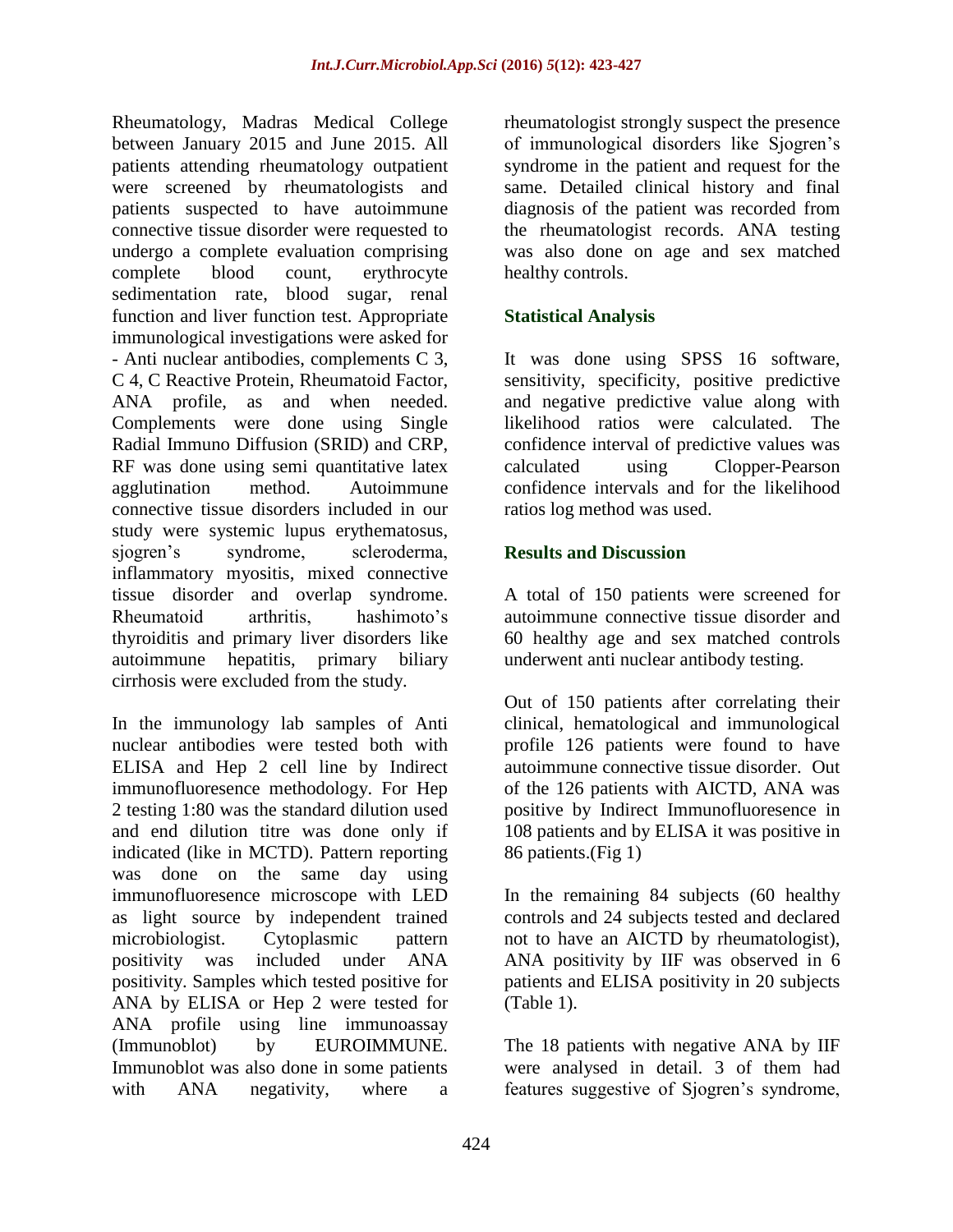Rheumatology, Madras Medical College between January 2015 and June 2015. All patients attending rheumatology outpatient were screened by rheumatologists and patients suspected to have autoimmune connective tissue disorder were requested to undergo a complete evaluation comprising complete blood count, erythrocyte sedimentation rate, blood sugar, renal function and liver function test. Appropriate immunological investigations were asked for - Anti nuclear antibodies, complements C 3, C 4, C Reactive Protein, Rheumatoid Factor, ANA profile, as and when needed. Complements were done using Single Radial Immuno Diffusion (SRID) and CRP, RF was done using semi quantitative latex agglutination method. Autoimmune connective tissue disorders included in our study were systemic lupus erythematosus, sjogren's syndrome, scleroderma, inflammatory myositis, mixed connective tissue disorder and overlap syndrome. Rheumatoid arthritis, hashimoto's thyroiditis and primary liver disorders like autoimmune hepatitis, primary biliary cirrhosis were excluded from the study.

In the immunology lab samples of Anti nuclear antibodies were tested both with ELISA and Hep 2 cell line by Indirect immunofluoresence methodology. For Hep 2 testing 1:80 was the standard dilution used and end dilution titre was done only if indicated (like in MCTD). Pattern reporting was done on the same day using immunofluoresence microscope with LED as light source by independent trained microbiologist. Cytoplasmic pattern positivity was included under ANA positivity. Samples which tested positive for ANA by ELISA or Hep 2 were tested for ANA profile using line immunoassay (Immunoblot) by EUROIMMUNE. Immunoblot was also done in some patients with ANA negativity, where a

rheumatologist strongly suspect the presence of immunological disorders like Sjogren's syndrome in the patient and request for the same. Detailed clinical history and final diagnosis of the patient was recorded from the rheumatologist records. ANA testing was also done on age and sex matched healthy controls.

## **Statistical Analysis**

It was done using SPSS 16 software, sensitivity, specificity, positive predictive and negative predictive value along with likelihood ratios were calculated. The confidence interval of predictive values was calculated using Clopper-Pearson confidence intervals and for the likelihood ratios log method was used.

### **Results and Discussion**

A total of 150 patients were screened for autoimmune connective tissue disorder and 60 healthy age and sex matched controls underwent anti nuclear antibody testing.

Out of 150 patients after correlating their clinical, hematological and immunological profile 126 patients were found to have autoimmune connective tissue disorder. Out of the 126 patients with AICTD, ANA was positive by Indirect Immunofluoresence in 108 patients and by ELISA it was positive in 86 patients.(Fig 1)

In the remaining 84 subjects (60 healthy controls and 24 subjects tested and declared not to have an AICTD by rheumatologist), ANA positivity by IIF was observed in 6 patients and ELISA positivity in 20 subjects (Table 1).

The 18 patients with negative ANA by IIF were analysed in detail. 3 of them had features suggestive of Sjogren's syndrome,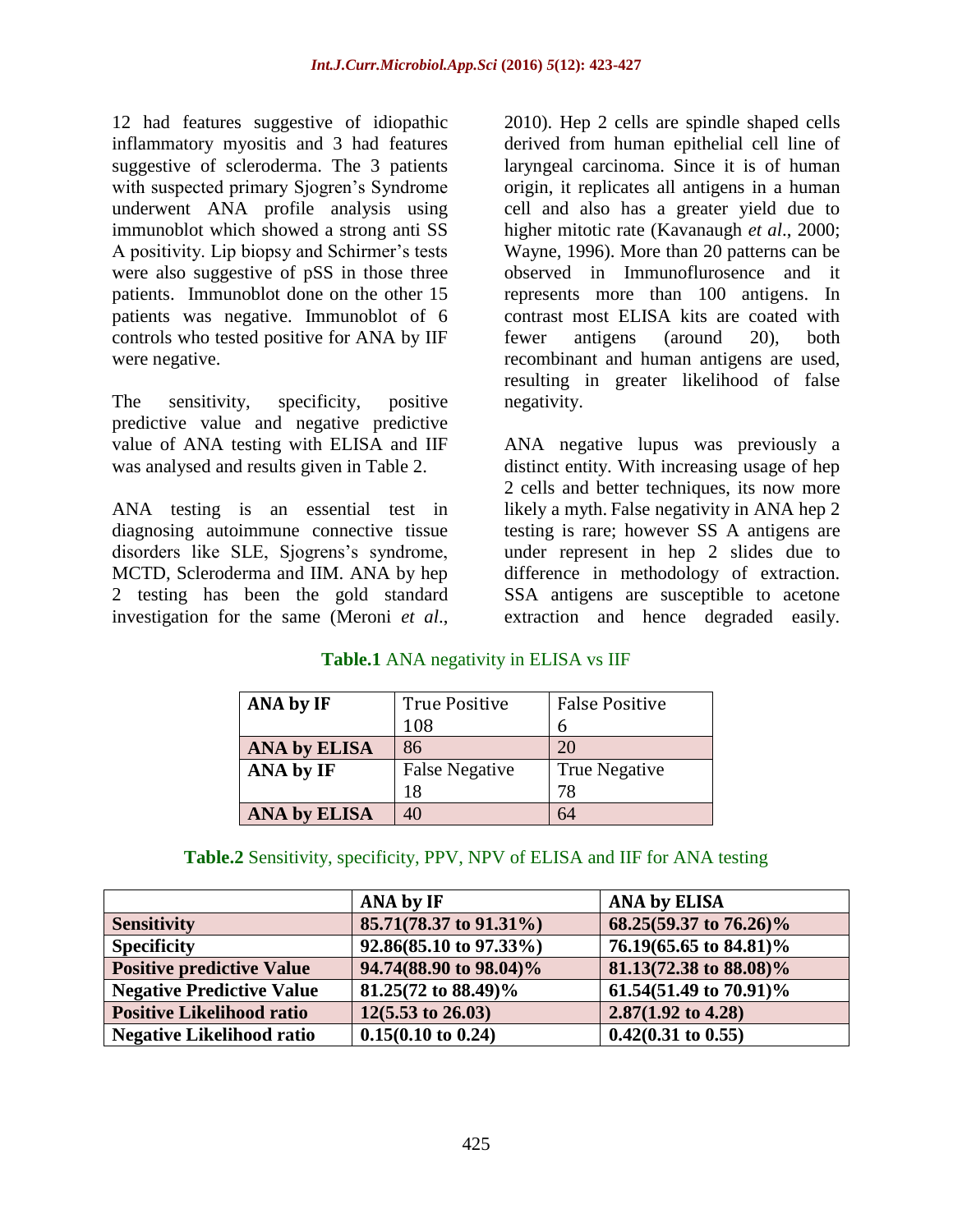12 had features suggestive of idiopathic inflammatory myositis and 3 had features suggestive of scleroderma. The 3 patients with suspected primary Sjogren's Syndrome underwent ANA profile analysis using immunoblot which showed a strong anti SS A positivity. Lip biopsy and Schirmer's tests were also suggestive of pSS in those three patients. Immunoblot done on the other 15 patients was negative. Immunoblot of 6 controls who tested positive for ANA by IIF were negative.

The sensitivity, specificity, positive predictive value and negative predictive value of ANA testing with ELISA and IIF was analysed and results given in Table 2.

ANA testing is an essential test in diagnosing autoimmune connective tissue disorders like SLE, Sjogrens's syndrome, MCTD, Scleroderma and IIM. ANA by hep 2 testing has been the gold standard investigation for the same (Meroni *et al*., 2010). Hep 2 cells are spindle shaped cells derived from human epithelial cell line of laryngeal carcinoma. Since it is of human origin, it replicates all antigens in a human cell and also has a greater yield due to higher mitotic rate (Kavanaugh *et al*., 2000; Wayne, 1996). More than 20 patterns can be observed in Immunoflurosence and it represents more than 100 antigens. In contrast most ELISA kits are coated with fewer antigens (around 20), both recombinant and human antigens are used, resulting in greater likelihood of false negativity.

ANA negative lupus was previously a distinct entity. With increasing usage of hep 2 cells and better techniques, its now more likely a myth. False negativity in ANA hep 2 testing is rare; however SS A antigens are under represent in hep 2 slides due to difference in methodology of extraction. SSA antigens are susceptible to acetone extraction and hence degraded easily.

### **Table.1** ANA negativity in ELISA vs IIF

| ANA by IF           | <b>True Positive</b>  | <b>False Positive</b> |
|---------------------|-----------------------|-----------------------|
|                     | 108                   |                       |
| <b>ANA by ELISA</b> | 86                    | 20                    |
| ANA by IF           | <b>False Negative</b> | True Negative         |
|                     | 18                    | 78                    |
| <b>ANA by ELISA</b> | 40                    | 64                    |

### **Table.2** Sensitivity, specificity, PPV, NPV of ELISA and IIF for ANA testing

|                                  | <b>ANA by IF</b>              | <b>ANA by ELISA</b>           |
|----------------------------------|-------------------------------|-------------------------------|
| <b>Sensitivity</b>               | 85.71(78.37 to 91.31%)        | 68.25(59.37 to 76.26)%        |
| <b>Specificity</b>               | 92.86(85.10 to 97.33%)        | 76.19(65.65 to 84.81)%        |
| <b>Positive predictive Value</b> | 94.74(88.90 to 98.04)%        | 81.13(72.38 to 88.08)%        |
| <b>Negative Predictive Value</b> | 81.25(72 to 88.49)%           | 61.54(51.49 to 70.91)%        |
| <b>Positive Likelihood ratio</b> | $12(5.53 \text{ to } 26.03)$  | $2.87(1.92 \text{ to } 4.28)$ |
| <b>Negative Likelihood ratio</b> | $0.15(0.10 \text{ to } 0.24)$ | $0.42(0.31 \text{ to } 0.55)$ |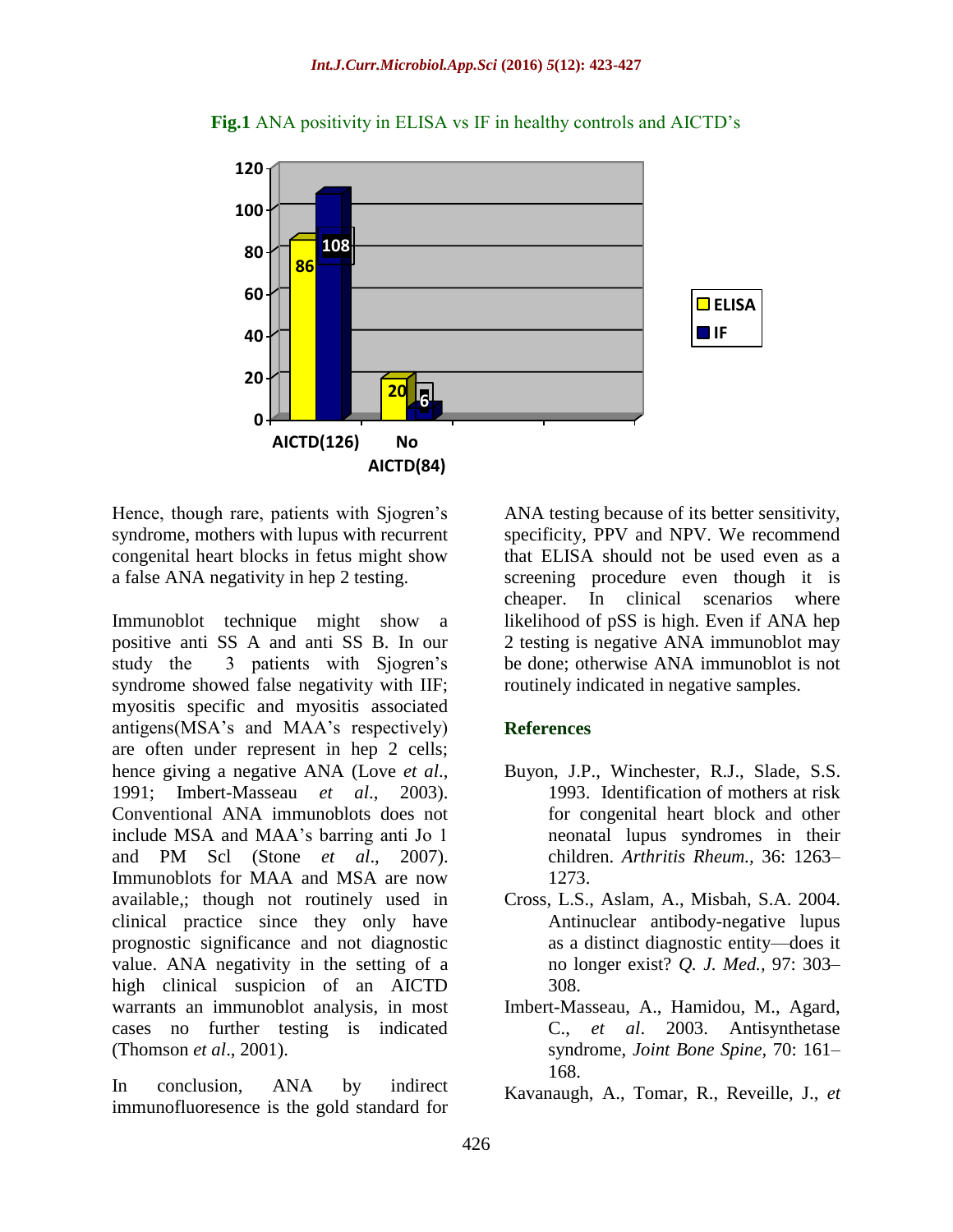

**Fig.1** ANA positivity in ELISA vs IF in healthy controls and AICTD's

Hence, though rare, patients with Sjogren's syndrome, mothers with lupus with recurrent congenital heart blocks in fetus might show a false ANA negativity in hep 2 testing.

Immunoblot technique might show a positive anti SS A and anti SS B. In our study the 3 patients with Sjogren's syndrome showed false negativity with IIF; myositis specific and myositis associated antigens(MSA's and MAA's respectively) are often under represent in hep 2 cells; hence giving a negative ANA (Love *et al*., 1991; Imbert-Masseau *et al*., 2003). Conventional ANA immunoblots does not include MSA and MAA's barring anti Jo 1 and PM Scl (Stone *et al*., 2007). Immunoblots for MAA and MSA are now available,; though not routinely used in clinical practice since they only have prognostic significance and not diagnostic value. ANA negativity in the setting of a high clinical suspicion of an AICTD warrants an immunoblot analysis, in most cases no further testing is indicated (Thomson *et al*., 2001).

In conclusion, ANA by indirect immunofluoresence is the gold standard for

ANA testing because of its better sensitivity, specificity, PPV and NPV. We recommend that ELISA should not be used even as a screening procedure even though it is cheaper. In clinical scenarios where likelihood of pSS is high. Even if ANA hep 2 testing is negative ANA immunoblot may be done; otherwise ANA immunoblot is not routinely indicated in negative samples.

### **References**

- Buyon, J.P., Winchester, R.J., Slade, S.S. 1993. Identification of mothers at risk for congenital heart block and other neonatal lupus syndromes in their children. *Arthritis Rheum.,* 36: 1263– 1273.
- Cross, L.S., Aslam, A., Misbah, S.A. 2004. Antinuclear antibody-negative lupus as a distinct diagnostic entity—does it no longer exist? *Q. J. Med.,* 97: 303– 308.
- Imbert-Masseau, A., Hamidou, M., Agard, C., *et al*. 2003. Antisynthetase syndrome, *Joint Bone Spine,* 70: 161– 168.
- Kavanaugh, A., Tomar, R., Reveille, J., *et*